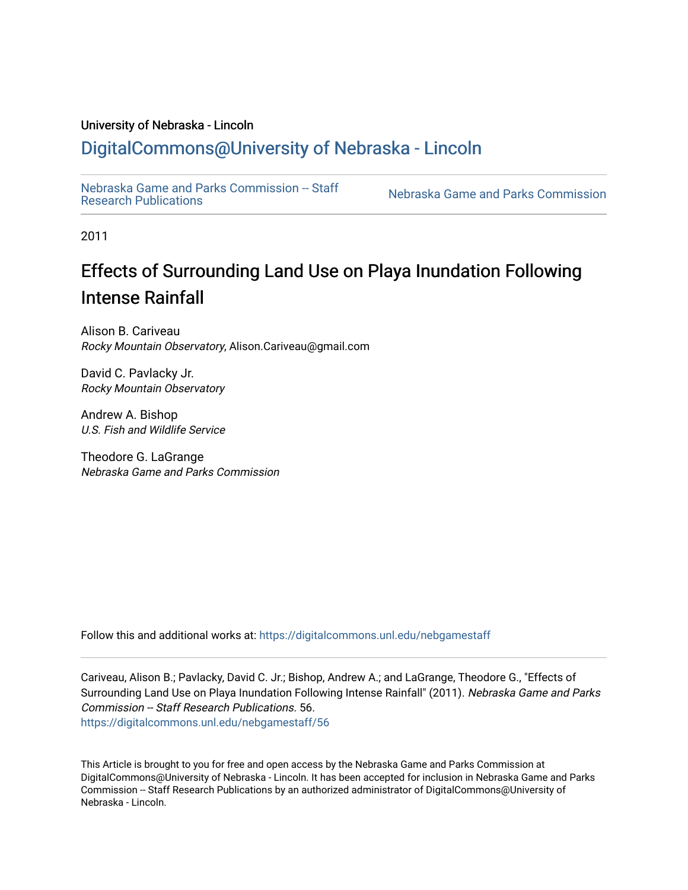### University of Nebraska - Lincoln

### [DigitalCommons@University of Nebraska - Lincoln](https://digitalcommons.unl.edu/)

[Nebraska Game and Parks Commission -- Staff](https://digitalcommons.unl.edu/nebgamestaff)<br>Research Publications

Nebraska Game and Parks Commission

2011

# Effects of Surrounding Land Use on Playa Inundation Following Intense Rainfall

Alison B. Cariveau Rocky Mountain Observatory, Alison.Cariveau@gmail.com

David C. Pavlacky Jr. Rocky Mountain Observatory

Andrew A. Bishop U.S. Fish and Wildlife Service

Theodore G. LaGrange Nebraska Game and Parks Commission

Follow this and additional works at: [https://digitalcommons.unl.edu/nebgamestaff](https://digitalcommons.unl.edu/nebgamestaff?utm_source=digitalcommons.unl.edu%2Fnebgamestaff%2F56&utm_medium=PDF&utm_campaign=PDFCoverPages) 

Cariveau, Alison B.; Pavlacky, David C. Jr.; Bishop, Andrew A.; and LaGrange, Theodore G., "Effects of Surrounding Land Use on Playa Inundation Following Intense Rainfall" (2011). Nebraska Game and Parks Commission -- Staff Research Publications. 56. [https://digitalcommons.unl.edu/nebgamestaff/56](https://digitalcommons.unl.edu/nebgamestaff/56?utm_source=digitalcommons.unl.edu%2Fnebgamestaff%2F56&utm_medium=PDF&utm_campaign=PDFCoverPages)

This Article is brought to you for free and open access by the Nebraska Game and Parks Commission at DigitalCommons@University of Nebraska - Lincoln. It has been accepted for inclusion in Nebraska Game and Parks Commission -- Staff Research Publications by an authorized administrator of DigitalCommons@University of Nebraska - Lincoln.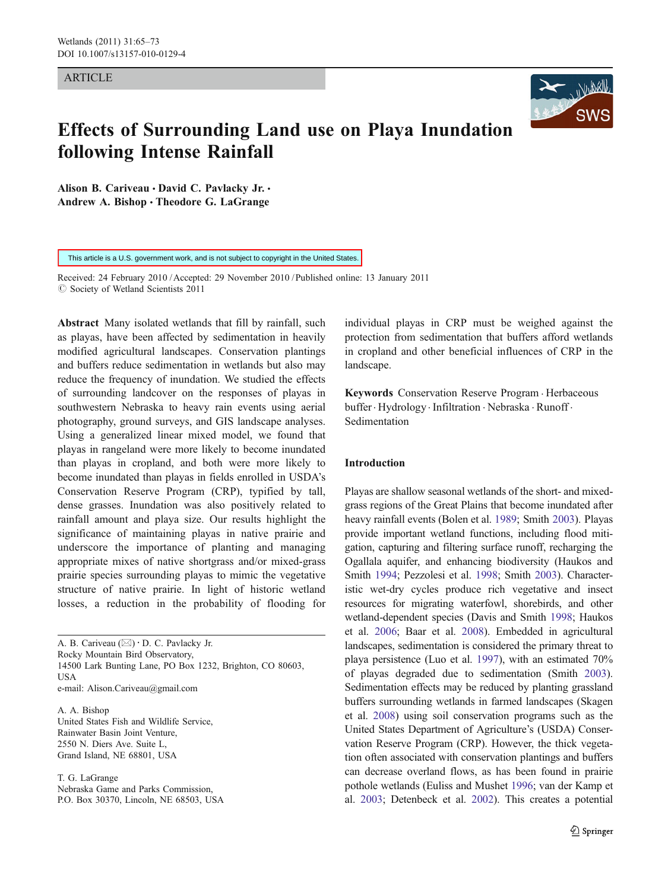#### ARTICLE



## Effects of Surrounding Land use on Playa Inundation following Intense Rainfall

Alison B. Cariveau · David C. Pavlacky Jr. . Andrew A. Bishop . Theodore G. LaGrange

This article is a U.S. government work, and is not subject to copyright in the United States.

Received: 24 February 2010 /Accepted: 29 November 2010 / Published online: 13 January 2011  $\oslash$  Society of Wetland Scientists 2011

Abstract Many isolated wetlands that fill by rainfall, such as playas, have been affected by sedimentation in heavily modified agricultural landscapes. Conservation plantings and buffers reduce sedimentation in wetlands but also may reduce the frequency of inundation. We studied the effects of surrounding landcover on the responses of playas in southwestern Nebraska to heavy rain events using aerial photography, ground surveys, and GIS landscape analyses. Using a generalized linear mixed model, we found that playas in rangeland were more likely to become inundated than playas in cropland, and both were more likely to become inundated than playas in fields enrolled in USDA's Conservation Reserve Program (CRP), typified by tall, dense grasses. Inundation was also positively related to rainfall amount and playa size. Our results highlight the significance of maintaining playas in native prairie and underscore the importance of planting and managing appropriate mixes of native shortgrass and/or mixed-grass prairie species surrounding playas to mimic the vegetative structure of native prairie. In light of historic wetland losses, a reduction in the probability of flooding for

A. B. Cariveau  $(\boxtimes) \cdot$  D. C. Pavlacky Jr. Rocky Mountain Bird Observatory, 14500 Lark Bunting Lane, PO Box 1232, Brighton, CO 80603, USA e-mail: Alison.Cariveau@gmail.com

A. A. Bishop United States Fish and Wildlife Service, Rainwater Basin Joint Venture, 2550 N. Diers Ave. Suite L, Grand Island, NE 68801, USA

T. G. LaGrange Nebraska Game and Parks Commission, P.O. Box 30370, Lincoln, NE 68503, USA

individual playas in CRP must be weighed against the protection from sedimentation that buffers afford wetlands in cropland and other beneficial influences of CRP in the landscape.

Keywords Conservation Reserve Program . Herbaceous buffer. Hydrology . Infiltration . Nebraska . Runoff . Sedimentation

#### Introduction

Playas are shallow seasonal wetlands of the short- and mixedgrass regions of the Great Plains that become inundated after heavy rainfall events (Bolen et al. [1989;](#page-8-0) Smith [2003](#page-9-0)). Playas provide important wetland functions, including flood mitigation, capturing and filtering surface runoff, recharging the Ogallala aquifer, and enhancing biodiversity (Haukos and Smith [1994;](#page-9-0) Pezzolesi et al. [1998;](#page-9-0) Smith [2003\)](#page-9-0). Characteristic wet-dry cycles produce rich vegetative and insect resources for migrating waterfowl, shorebirds, and other wetland-dependent species (Davis and Smith [1998](#page-9-0); Haukos et al. [2006](#page-9-0); Baar et al. [2008\)](#page-8-0). Embedded in agricultural landscapes, sedimentation is considered the primary threat to playa persistence (Luo et al. [1997\)](#page-9-0), with an estimated 70% of playas degraded due to sedimentation (Smith [2003\)](#page-9-0). Sedimentation effects may be reduced by planting grassland buffers surrounding wetlands in farmed landscapes (Skagen et al. [2008\)](#page-9-0) using soil conservation programs such as the United States Department of Agriculture's (USDA) Conservation Reserve Program (CRP). However, the thick vegetation often associated with conservation plantings and buffers can decrease overland flows, as has been found in prairie pothole wetlands (Euliss and Mushet [1996](#page-9-0); van der Kamp et al. [2003;](#page-9-0) Detenbeck et al. [2002](#page-9-0)). This creates a potential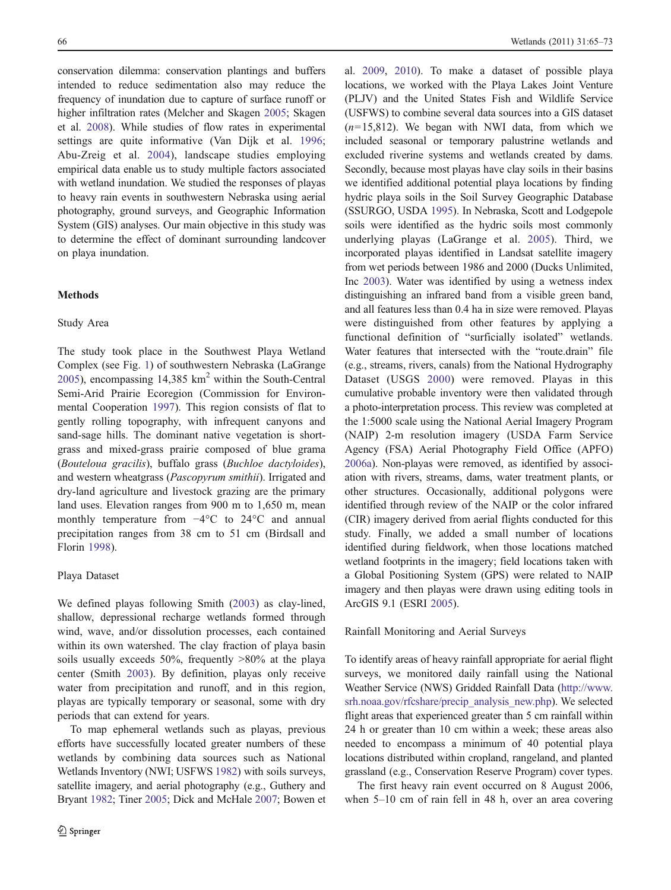conservation dilemma: conservation plantings and buffers intended to reduce sedimentation also may reduce the frequency of inundation due to capture of surface runoff or higher infiltration rates (Melcher and Skagen [2005](#page-9-0); Skagen et al. [2008\)](#page-9-0). While studies of flow rates in experimental settings are quite informative (Van Dijk et al. [1996](#page-9-0); Abu-Zreig et al. [2004](#page-8-0)), landscape studies employing empirical data enable us to study multiple factors associated with wetland inundation. We studied the responses of playas to heavy rain events in southwestern Nebraska using aerial photography, ground surveys, and Geographic Information System (GIS) analyses. Our main objective in this study was to determine the effect of dominant surrounding landcover on playa inundation.

#### Methods

#### Study Area

The study took place in the Southwest Playa Wetland Complex (see Fig. [1](#page-3-0)) of southwestern Nebraska (LaGrange [2005\)](#page-9-0), encompassing  $14,385 \text{ km}^2$  within the South-Central Semi-Arid Prairie Ecoregion (Commission for Environmental Cooperation [1997](#page-9-0)). This region consists of flat to gently rolling topography, with infrequent canyons and sand-sage hills. The dominant native vegetation is shortgrass and mixed-grass prairie composed of blue grama (Bouteloua gracilis), buffalo grass (Buchloe dactyloides), and western wheatgrass (Pascopyrum smithii). Irrigated and dry-land agriculture and livestock grazing are the primary land uses. Elevation ranges from 900 m to 1,650 m, mean monthly temperature from −4°C to 24°C and annual precipitation ranges from 38 cm to 51 cm (Birdsall and Florin [1998](#page-8-0)).

#### Playa Dataset

We defined playas following Smith ([2003\)](#page-9-0) as clay-lined, shallow, depressional recharge wetlands formed through wind, wave, and/or dissolution processes, each contained within its own watershed. The clay fraction of playa basin soils usually exceeds 50%, frequently >80% at the playa center (Smith [2003\)](#page-9-0). By definition, playas only receive water from precipitation and runoff, and in this region, playas are typically temporary or seasonal, some with dry periods that can extend for years.

To map ephemeral wetlands such as playas, previous efforts have successfully located greater numbers of these wetlands by combining data sources such as National Wetlands Inventory (NWI; USFWS [1982\)](#page-9-0) with soils surveys, satellite imagery, and aerial photography (e.g., Guthery and Bryant [1982;](#page-9-0) Tiner [2005](#page-9-0); Dick and McHale [2007](#page-9-0); Bowen et al. [2009,](#page-8-0) [2010](#page-8-0)). To make a dataset of possible playa locations, we worked with the Playa Lakes Joint Venture (PLJV) and the United States Fish and Wildlife Service (USFWS) to combine several data sources into a GIS dataset  $(n=15,812)$ . We began with NWI data, from which we included seasonal or temporary palustrine wetlands and excluded riverine systems and wetlands created by dams. Secondly, because most playas have clay soils in their basins we identified additional potential playa locations by finding hydric playa soils in the Soil Survey Geographic Database (SSURGO, USDA [1995](#page-9-0)). In Nebraska, Scott and Lodgepole soils were identified as the hydric soils most commonly underlying playas (LaGrange et al. [2005\)](#page-9-0). Third, we incorporated playas identified in Landsat satellite imagery from wet periods between 1986 and 2000 (Ducks Unlimited, Inc [2003](#page-9-0)). Water was identified by using a wetness index distinguishing an infrared band from a visible green band, and all features less than 0.4 ha in size were removed. Playas were distinguished from other features by applying a functional definition of "surficially isolated" wetlands. Water features that intersected with the "route.drain" file (e.g., streams, rivers, canals) from the National Hydrography Dataset (USGS [2000](#page-9-0)) were removed. Playas in this cumulative probable inventory were then validated through a photo-interpretation process. This review was completed at the 1:5000 scale using the National Aerial Imagery Program (NAIP) 2-m resolution imagery (USDA Farm Service Agency (FSA) Aerial Photography Field Office (APFO) [2006a\)](#page-9-0). Non-playas were removed, as identified by association with rivers, streams, dams, water treatment plants, or other structures. Occasionally, additional polygons were identified through review of the NAIP or the color infrared (CIR) imagery derived from aerial flights conducted for this study. Finally, we added a small number of locations identified during fieldwork, when those locations matched wetland footprints in the imagery; field locations taken with a Global Positioning System (GPS) were related to NAIP imagery and then playas were drawn using editing tools in ArcGIS 9.1 (ESRI [2005](#page-9-0)).

Rainfall Monitoring and Aerial Surveys

To identify areas of heavy rainfall appropriate for aerial flight surveys, we monitored daily rainfall using the National Weather Service (NWS) Gridded Rainfall Data [\(http://www.](http://www.srh.noaa.gov/rfcshare/precip_analysis_new.php) [srh.noaa.gov/rfcshare/precip\\_analysis\\_new.php\)](http://www.srh.noaa.gov/rfcshare/precip_analysis_new.php). We selected flight areas that experienced greater than 5 cm rainfall within 24 h or greater than 10 cm within a week; these areas also needed to encompass a minimum of 40 potential playa locations distributed within cropland, rangeland, and planted grassland (e.g., Conservation Reserve Program) cover types.

The first heavy rain event occurred on 8 August 2006, when 5–10 cm of rain fell in 48 h, over an area covering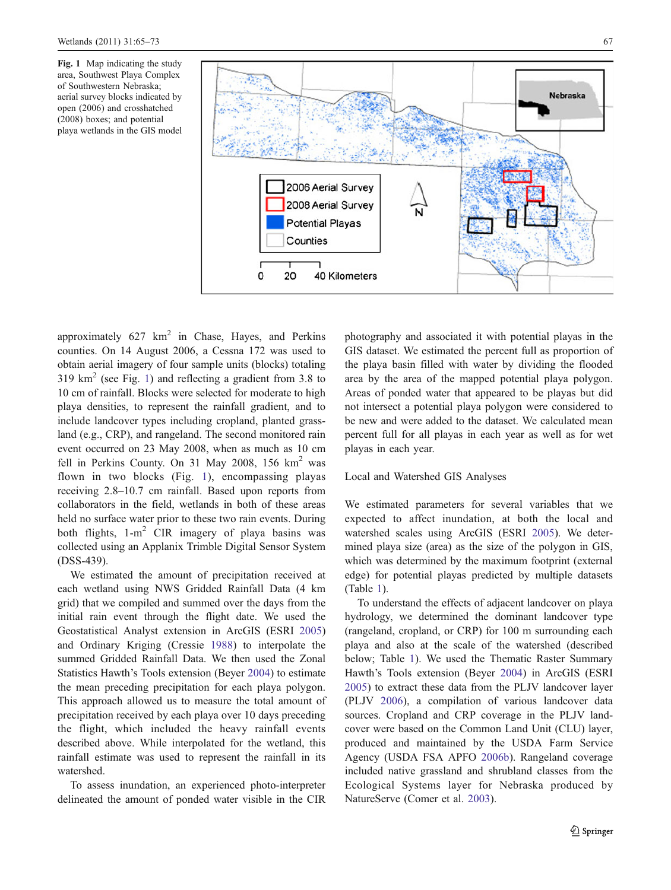<span id="page-3-0"></span>

approximately  $627 \text{ km}^2$  in Chase, Hayes, and Perkins counties. On 14 August 2006, a Cessna 172 was used to obtain aerial imagery of four sample units (blocks) totaling  $319 \text{ km}^2$  (see Fig. 1) and reflecting a gradient from 3.8 to 10 cm of rainfall. Blocks were selected for moderate to high playa densities, to represent the rainfall gradient, and to include landcover types including cropland, planted grassland (e.g., CRP), and rangeland. The second monitored rain event occurred on 23 May 2008, when as much as 10 cm fell in Perkins County. On 31 May 2008, 156  $km^2$  was flown in two blocks (Fig. 1), encompassing playas receiving 2.8–10.7 cm rainfall. Based upon reports from collaborators in the field, wetlands in both of these areas held no surface water prior to these two rain events. During both flights,  $1-m^2$  CIR imagery of playa basins was collected using an Applanix Trimble Digital Sensor System (DSS-439).

We estimated the amount of precipitation received at each wetland using NWS Gridded Rainfall Data (4 km grid) that we compiled and summed over the days from the initial rain event through the flight date. We used the Geostatistical Analyst extension in ArcGIS (ESRI [2005\)](#page-9-0) and Ordinary Kriging (Cressie [1988\)](#page-9-0) to interpolate the summed Gridded Rainfall Data. We then used the Zonal Statistics Hawth's Tools extension (Beyer [2004\)](#page-8-0) to estimate the mean preceding precipitation for each playa polygon. This approach allowed us to measure the total amount of precipitation received by each playa over 10 days preceding the flight, which included the heavy rainfall events described above. While interpolated for the wetland, this rainfall estimate was used to represent the rainfall in its watershed.

To assess inundation, an experienced photo-interpreter delineated the amount of ponded water visible in the CIR photography and associated it with potential playas in the GIS dataset. We estimated the percent full as proportion of the playa basin filled with water by dividing the flooded area by the area of the mapped potential playa polygon. Areas of ponded water that appeared to be playas but did not intersect a potential playa polygon were considered to be new and were added to the dataset. We calculated mean percent full for all playas in each year as well as for wet playas in each year.

#### Local and Watershed GIS Analyses

We estimated parameters for several variables that we expected to affect inundation, at both the local and watershed scales using ArcGIS (ESRI [2005](#page-9-0)). We determined playa size (area) as the size of the polygon in GIS, which was determined by the maximum footprint (external edge) for potential playas predicted by multiple datasets (Table [1](#page-4-0)).

To understand the effects of adjacent landcover on playa hydrology, we determined the dominant landcover type (rangeland, cropland, or CRP) for 100 m surrounding each playa and also at the scale of the watershed (described below; Table [1\)](#page-4-0). We used the Thematic Raster Summary Hawth's Tools extension (Beyer [2004](#page-8-0)) in ArcGIS (ESRI [2005](#page-9-0)) to extract these data from the PLJV landcover layer (PLJV [2006\)](#page-9-0), a compilation of various landcover data sources. Cropland and CRP coverage in the PLJV landcover were based on the Common Land Unit (CLU) layer, produced and maintained by the USDA Farm Service Agency (USDA FSA APFO [2006b](#page-9-0)). Rangeland coverage included native grassland and shrubland classes from the Ecological Systems layer for Nebraska produced by NatureServe (Comer et al. [2003](#page-9-0)).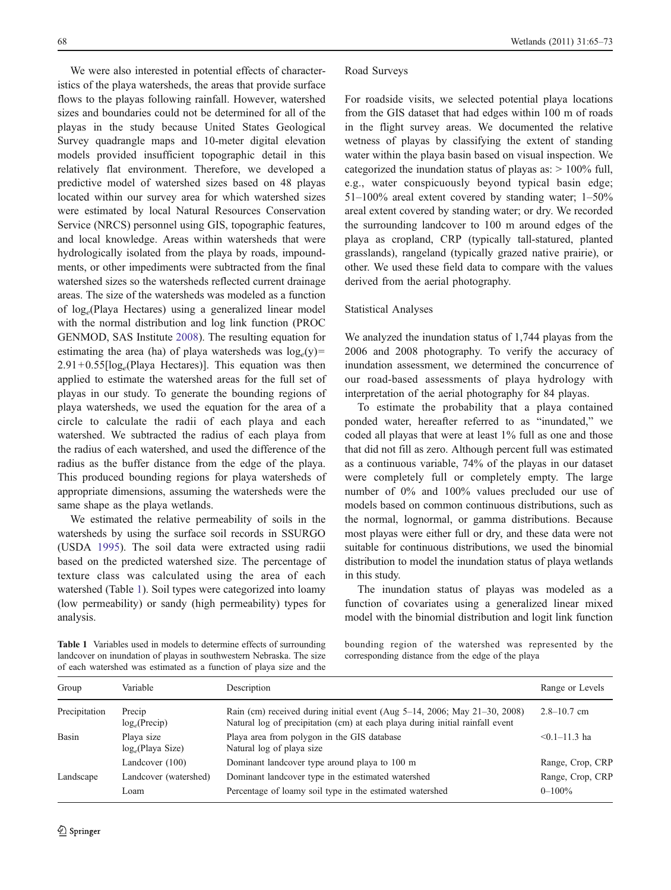<span id="page-4-0"></span>We were also interested in potential effects of characteristics of the playa watersheds, the areas that provide surface flows to the playas following rainfall. However, watershed sizes and boundaries could not be determined for all of the playas in the study because United States Geological Survey quadrangle maps and 10-meter digital elevation models provided insufficient topographic detail in this relatively flat environment. Therefore, we developed a predictive model of watershed sizes based on 48 playas located within our survey area for which watershed sizes were estimated by local Natural Resources Conservation Service (NRCS) personnel using GIS, topographic features, and local knowledge. Areas within watersheds that were hydrologically isolated from the playa by roads, impoundments, or other impediments were subtracted from the final watershed sizes so the watersheds reflected current drainage areas. The size of the watersheds was modeled as a function of loge(Playa Hectares) using a generalized linear model with the normal distribution and log link function (PROC GENMOD, SAS Institute [2008](#page-9-0)). The resulting equation for estimating the area (ha) of playa watersheds was  $log_e(y)$ =  $2.91+0.55$ [log<sub>e</sub>(Playa Hectares)]. This equation was then applied to estimate the watershed areas for the full set of playas in our study. To generate the bounding regions of playa watersheds, we used the equation for the area of a circle to calculate the radii of each playa and each watershed. We subtracted the radius of each playa from the radius of each watershed, and used the difference of the radius as the buffer distance from the edge of the playa. This produced bounding regions for playa watersheds of appropriate dimensions, assuming the watersheds were the same shape as the playa wetlands.

We estimated the relative permeability of soils in the watersheds by using the surface soil records in SSURGO (USDA [1995](#page-9-0)). The soil data were extracted using radii based on the predicted watershed size. The percentage of texture class was calculated using the area of each watershed (Table 1). Soil types were categorized into loamy (low permeability) or sandy (high permeability) types for analysis.

#### Road Surveys

For roadside visits, we selected potential playa locations from the GIS dataset that had edges within 100 m of roads in the flight survey areas. We documented the relative wetness of playas by classifying the extent of standing water within the playa basin based on visual inspection. We categorized the inundation status of playas as:  $> 100\%$  full, e.g., water conspicuously beyond typical basin edge; 51–100% areal extent covered by standing water; 1–50% areal extent covered by standing water; or dry. We recorded the surrounding landcover to 100 m around edges of the playa as cropland, CRP (typically tall-statured, planted grasslands), rangeland (typically grazed native prairie), or other. We used these field data to compare with the values derived from the aerial photography.

#### Statistical Analyses

We analyzed the inundation status of 1,744 playas from the 2006 and 2008 photography. To verify the accuracy of inundation assessment, we determined the concurrence of our road-based assessments of playa hydrology with interpretation of the aerial photography for 84 playas.

To estimate the probability that a playa contained ponded water, hereafter referred to as "inundated," we coded all playas that were at least 1% full as one and those that did not fill as zero. Although percent full was estimated as a continuous variable, 74% of the playas in our dataset were completely full or completely empty. The large number of 0% and 100% values precluded our use of models based on common continuous distributions, such as the normal, lognormal, or gamma distributions. Because most playas were either full or dry, and these data were not suitable for continuous distributions, we used the binomial distribution to model the inundation status of playa wetlands in this study.

The inundation status of playas was modeled as a function of covariates using a generalized linear mixed model with the binomial distribution and logit link function

Table 1 Variables used in models to determine effects of surrounding landcover on inundation of playas in southwestern Nebraska. The size of each watershed was estimated as a function of playa size and the

bounding region of the watershed was represented by the corresponding distance from the edge of the playa

| Group         | Variable                           | Description                                                                                                                                                      | Range or Levels   |
|---------------|------------------------------------|------------------------------------------------------------------------------------------------------------------------------------------------------------------|-------------------|
| Precipitation | Precip<br>$log_e(Precip)$          | Rain (cm) received during initial event (Aug $5-14$ , 2006; May $21-30$ , 2008)<br>Natural log of precipitation (cm) at each playa during initial rainfall event | $2.8 - 10.7$ cm   |
| Basin         | Playa size<br>$log_e$ (Playa Size) | Playa area from polygon in the GIS database<br>Natural log of playa size                                                                                         | $< 0.1 - 11.3$ ha |
|               | Landcover (100)                    | Dominant landcover type around playa to 100 m                                                                                                                    | Range, Crop, CRP  |
| Landscape     | Landcover (watershed)              | Dominant landcover type in the estimated watershed                                                                                                               | Range, Crop, CRP  |
|               | Loam                               | Percentage of loamy soil type in the estimated watershed                                                                                                         | $0 - 100\%$       |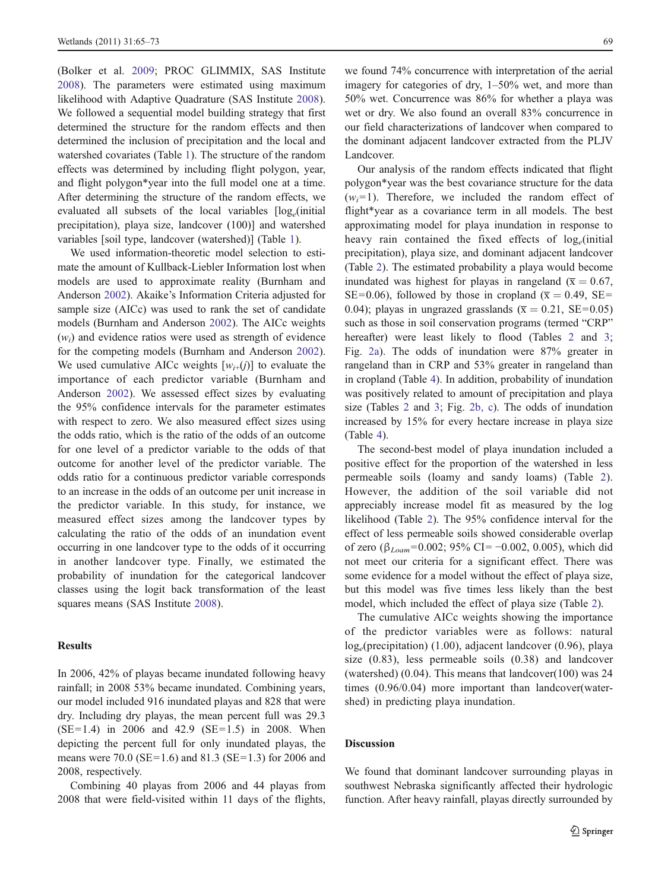(Bolker et al. [2009](#page-8-0); PROC GLIMMIX, SAS Institute [2008\)](#page-9-0). The parameters were estimated using maximum likelihood with Adaptive Quadrature (SAS Institute [2008](#page-9-0)). We followed a sequential model building strategy that first determined the structure for the random effects and then determined the inclusion of precipitation and the local and watershed covariates (Table [1](#page-4-0)). The structure of the random effects was determined by including flight polygon, year, and flight polygon\*year into the full model one at a time. After determining the structure of the random effects, we evaluated all subsets of the local variables  $\lceil \log_e(\text{initial}) \rceil$ precipitation), playa size, landcover (100)] and watershed variables [soil type, landcover (watershed)] (Table [1](#page-4-0)).

We used information-theoretic model selection to estimate the amount of Kullback-Liebler Information lost when models are used to approximate reality (Burnham and Anderson [2002](#page-9-0)). Akaike's Information Criteria adjusted for sample size (AICc) was used to rank the set of candidate models (Burnham and Anderson [2002\)](#page-9-0). The AICc weights  $(w<sub>i</sub>)$  and evidence ratios were used as strength of evidence for the competing models (Burnham and Anderson [2002](#page-9-0)). We used cumulative AICc weights  $[w_{i+}(j)]$  to evaluate the importance of each predictor variable (Burnham and Anderson [2002\)](#page-9-0). We assessed effect sizes by evaluating the 95% confidence intervals for the parameter estimates with respect to zero. We also measured effect sizes using the odds ratio, which is the ratio of the odds of an outcome for one level of a predictor variable to the odds of that outcome for another level of the predictor variable. The odds ratio for a continuous predictor variable corresponds to an increase in the odds of an outcome per unit increase in the predictor variable. In this study, for instance, we measured effect sizes among the landcover types by calculating the ratio of the odds of an inundation event occurring in one landcover type to the odds of it occurring in another landcover type. Finally, we estimated the probability of inundation for the categorical landcover classes using the logit back transformation of the least squares means (SAS Institute [2008\)](#page-9-0).

#### Results

In 2006, 42% of playas became inundated following heavy rainfall; in 2008 53% became inundated. Combining years, our model included 916 inundated playas and 828 that were dry. Including dry playas, the mean percent full was 29.3 (SE=1.4) in 2006 and 42.9 (SE=1.5) in 2008. When depicting the percent full for only inundated playas, the means were 70.0 (SE=1.6) and 81.3 (SE=1.3) for 2006 and 2008, respectively.

Combining 40 playas from 2006 and 44 playas from 2008 that were field-visited within 11 days of the flights,

we found 74% concurrence with interpretation of the aerial imagery for categories of dry, 1–50% wet, and more than 50% wet. Concurrence was 86% for whether a playa was wet or dry. We also found an overall 83% concurrence in our field characterizations of landcover when compared to the dominant adjacent landcover extracted from the PLJV Landcover.

Our analysis of the random effects indicated that flight polygon\*year was the best covariance structure for the data  $(w<sub>i</sub>=1)$ . Therefore, we included the random effect of flight\*year as a covariance term in all models. The best approximating model for playa inundation in response to heavy rain contained the fixed effects of  $log_e$ (initial precipitation), playa size, and dominant adjacent landcover (Table [2](#page-6-0)). The estimated probability a playa would become inundated was highest for playas in rangeland ( $\overline{x} = 0.67$ , SE=0.06), followed by those in cropland ( $\overline{x}$  = 0.49, SE= 0.04); playas in ungrazed grasslands ( $\overline{x} = 0.21$ , SE=0.05) such as those in soil conservation programs (termed "CRP" hereafter) were least likely to flood (Tables [2](#page-6-0) and [3;](#page-6-0) Fig. [2a\)](#page-7-0). The odds of inundation were 87% greater in rangeland than in CRP and 53% greater in rangeland than in cropland (Table [4](#page-7-0)). In addition, probability of inundation was positively related to amount of precipitation and playa size (Tables [2](#page-6-0) and [3;](#page-6-0) Fig. [2b, c\)](#page-7-0). The odds of inundation increased by 15% for every hectare increase in playa size (Table [4](#page-7-0)).

The second-best model of playa inundation included a positive effect for the proportion of the watershed in less permeable soils (loamy and sandy loams) (Table [2](#page-6-0)). However, the addition of the soil variable did not appreciably increase model fit as measured by the log likelihood (Table [2](#page-6-0)). The 95% confidence interval for the effect of less permeable soils showed considerable overlap of zero ( $\beta_{Loom}$ =0.002; 95% CI= -0.002, 0.005), which did not meet our criteria for a significant effect. There was some evidence for a model without the effect of playa size, but this model was five times less likely than the best model, which included the effect of playa size (Table [2](#page-6-0)).

The cumulative AICc weights showing the importance of the predictor variables were as follows: natural  $log_e$ (precipitation) (1.00), adjacent landcover (0.96), playa size (0.83), less permeable soils (0.38) and landcover (watershed) (0.04). This means that landcover(100) was 24 times (0.96/0.04) more important than landcover(watershed) in predicting playa inundation.

#### Discussion

We found that dominant landcover surrounding playas in southwest Nebraska significantly affected their hydrologic function. After heavy rainfall, playas directly surrounded by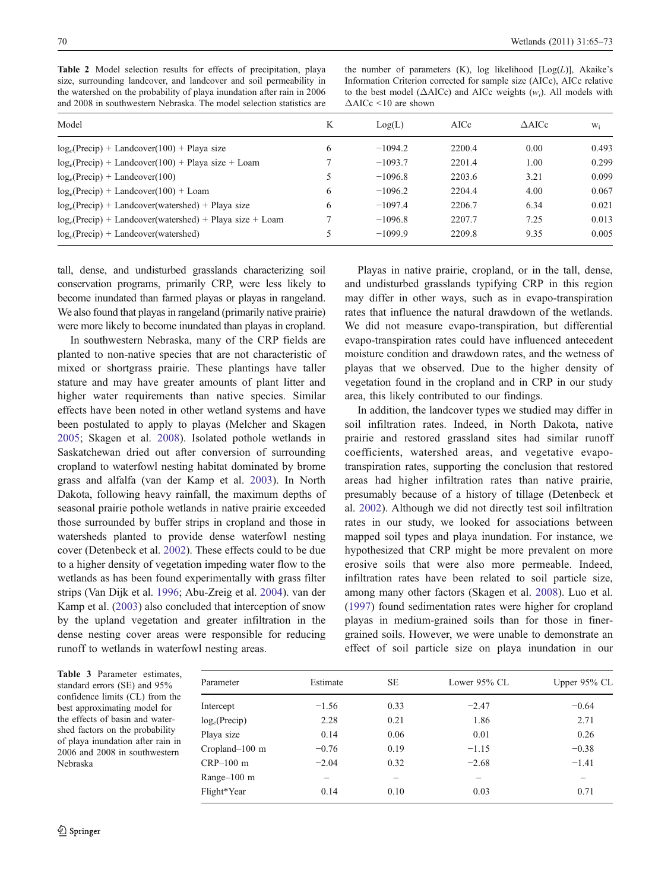<span id="page-6-0"></span>Table 2 Model selection results for effects of precipitation, playa size, surrounding landcover, and landcover and soil permeability in the watershed on the probability of playa inundation after rain in 2006 and 2008 in southwestern Nebraska. The model selection statistics are

the number of parameters  $(K)$ , log likelihood  $[Log(L)]$ , Akaike's Information Criterion corrected for sample size (AICc), AICc relative to the best model ( $\triangle$ AICc) and AICc weights (w<sub>i</sub>). All models with ΔAICc <10 are shown

| Model                                                      | K | Log(L)    | AICc   | $\triangle$ AICc | W <sub>i</sub> |
|------------------------------------------------------------|---|-----------|--------|------------------|----------------|
| $log_e(Precip)$ + Landcover(100) + Playa size              | 6 | $-1094.2$ | 2200.4 | 0.00             | 0.493          |
| $log_e(Precip)$ + Landcover(100) + Playa size + Loam       |   | $-1093.7$ | 2201.4 | 1.00             | 0.299          |
| $log_e(Precip)$ + Landcover(100)                           |   | $-1096.8$ | 2203.6 | 3.21             | 0.099          |
| $log_e(Precip)$ + Landcover(100) + Loam                    | 6 | $-1096.2$ | 2204.4 | 4.00             | 0.067          |
| $log_e(Precip)$ + Landcover(watershed) + Playa size        | 6 | $-1097.4$ | 2206.7 | 6.34             | 0.021          |
| $log_e(Precip)$ + Landcover(watershed) + Playa size + Loam |   | $-1096.8$ | 2207.7 | 7.25             | 0.013          |
| $log_e(Precip)$ + Landcover(watershed)                     |   | $-1099.9$ | 2209.8 | 9.35             | 0.005          |

tall, dense, and undisturbed grasslands characterizing soil conservation programs, primarily CRP, were less likely to become inundated than farmed playas or playas in rangeland. We also found that playas in rangeland (primarily native prairie) were more likely to become inundated than playas in cropland.

In southwestern Nebraska, many of the CRP fields are planted to non-native species that are not characteristic of mixed or shortgrass prairie. These plantings have taller stature and may have greater amounts of plant litter and higher water requirements than native species. Similar effects have been noted in other wetland systems and have been postulated to apply to playas (Melcher and Skagen [2005;](#page-9-0) Skagen et al. [2008\)](#page-9-0). Isolated pothole wetlands in Saskatchewan dried out after conversion of surrounding cropland to waterfowl nesting habitat dominated by brome grass and alfalfa (van der Kamp et al. [2003](#page-9-0)). In North Dakota, following heavy rainfall, the maximum depths of seasonal prairie pothole wetlands in native prairie exceeded those surrounded by buffer strips in cropland and those in watersheds planted to provide dense waterfowl nesting cover (Detenbeck et al. [2002](#page-9-0)). These effects could to be due to a higher density of vegetation impeding water flow to the wetlands as has been found experimentally with grass filter strips (Van Dijk et al. [1996;](#page-9-0) Abu-Zreig et al. [2004\)](#page-8-0). van der Kamp et al. ([2003\)](#page-9-0) also concluded that interception of snow by the upland vegetation and greater infiltration in the dense nesting cover areas were responsible for reducing runoff to wetlands in waterfowl nesting areas.

Playas in native prairie, cropland, or in the tall, dense, and undisturbed grasslands typifying CRP in this region may differ in other ways, such as in evapo-transpiration rates that influence the natural drawdown of the wetlands. We did not measure evapo-transpiration, but differential evapo-transpiration rates could have influenced antecedent moisture condition and drawdown rates, and the wetness of playas that we observed. Due to the higher density of vegetation found in the cropland and in CRP in our study area, this likely contributed to our findings.

In addition, the landcover types we studied may differ in soil infiltration rates. Indeed, in North Dakota, native prairie and restored grassland sites had similar runoff coefficients, watershed areas, and vegetative evapotranspiration rates, supporting the conclusion that restored areas had higher infiltration rates than native prairie, presumably because of a history of tillage (Detenbeck et al. [2002\)](#page-9-0). Although we did not directly test soil infiltration rates in our study, we looked for associations between mapped soil types and playa inundation. For instance, we hypothesized that CRP might be more prevalent on more erosive soils that were also more permeable. Indeed, infiltration rates have been related to soil particle size, among many other factors (Skagen et al. [2008](#page-9-0)). Luo et al. [\(1997](#page-9-0)) found sedimentation rates were higher for cropland playas in medium-grained soils than for those in finergrained soils. However, we were unable to demonstrate an effect of soil particle size on playa inundation in our

Table 3 Parameter estimates, standard errors (SE) and 95% confidence limits (CL) from the best approximating model for the effects of basin and watershed factors on the probability of playa inundation after rain in 2006 and 2008 in southwestern Nebraska

| Parameter                 | Estimate | <b>SE</b> | Lower 95% CL | Upper 95% CL             |
|---------------------------|----------|-----------|--------------|--------------------------|
| Intercept                 | $-1.56$  | 0.33      | $-2.47$      | $-0.64$                  |
| log <sub>e</sub> (Precip) | 2.28     | 0.21      | 1.86         | 2.71                     |
| Playa size                | 0.14     | 0.06      | 0.01         | 0.26                     |
| Cropland-100 m            | $-0.76$  | 0.19      | $-1.15$      | $-0.38$                  |
| CRP-100 m                 | $-2.04$  | 0.32      | $-2.68$      | $-1.41$                  |
| Range-100 m               |          |           |              | $\overline{\phantom{m}}$ |
| Flight*Year               | 0.14     | 0.10      | 0.03         | 0.71                     |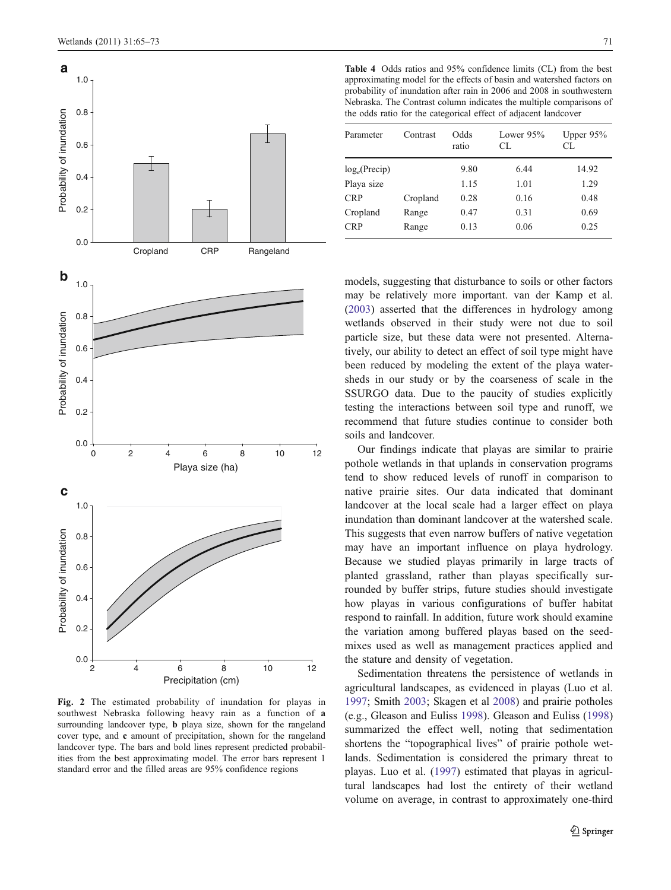<span id="page-7-0"></span>

Fig. 2 The estimated probability of inundation for playas in southwest Nebraska following heavy rain as a function of a surrounding landcover type, b playa size, shown for the rangeland cover type, and c amount of precipitation, shown for the rangeland landcover type. The bars and bold lines represent predicted probabilities from the best approximating model. The error bars represent 1 standard error and the filled areas are 95% confidence regions

Table 4 Odds ratios and 95% confidence limits (CL) from the best approximating model for the effects of basin and watershed factors on probability of inundation after rain in 2006 and 2008 in southwestern Nebraska. The Contrast column indicates the multiple comparisons of the odds ratio for the categorical effect of adjacent landcover

| Parameter       | Contrast | Odds<br>ratio | Lower $95%$<br>CL. | Upper $95%$<br>CL. |
|-----------------|----------|---------------|--------------------|--------------------|
| $log_e(Precip)$ |          | 9.80          | 6.44               | 14.92              |
| Playa size      |          | 1.15          | 1.01               | 1.29               |
| <b>CRP</b>      | Cropland | 0.28          | 0.16               | 0.48               |
| Cropland        | Range    | 0.47          | 0.31               | 0.69               |
| <b>CRP</b>      | Range    | 0.13          | 0.06               | 0.25               |

models, suggesting that disturbance to soils or other factors may be relatively more important. van der Kamp et al. [\(2003](#page-9-0)) asserted that the differences in hydrology among wetlands observed in their study were not due to soil particle size, but these data were not presented. Alternatively, our ability to detect an effect of soil type might have been reduced by modeling the extent of the playa watersheds in our study or by the coarseness of scale in the SSURGO data. Due to the paucity of studies explicitly testing the interactions between soil type and runoff, we recommend that future studies continue to consider both soils and landcover.

Our findings indicate that playas are similar to prairie pothole wetlands in that uplands in conservation programs tend to show reduced levels of runoff in comparison to native prairie sites. Our data indicated that dominant landcover at the local scale had a larger effect on playa inundation than dominant landcover at the watershed scale. This suggests that even narrow buffers of native vegetation may have an important influence on playa hydrology. Because we studied playas primarily in large tracts of planted grassland, rather than playas specifically surrounded by buffer strips, future studies should investigate how playas in various configurations of buffer habitat respond to rainfall. In addition, future work should examine the variation among buffered playas based on the seedmixes used as well as management practices applied and the stature and density of vegetation.

Sedimentation threatens the persistence of wetlands in agricultural landscapes, as evidenced in playas (Luo et al. [1997](#page-9-0); Smith [2003;](#page-9-0) Skagen et al [2008\)](#page-9-0) and prairie potholes (e.g., Gleason and Euliss [1998](#page-9-0)). Gleason and Euliss [\(1998](#page-9-0)) summarized the effect well, noting that sedimentation shortens the "topographical lives" of prairie pothole wetlands. Sedimentation is considered the primary threat to playas. Luo et al. [\(1997](#page-9-0)) estimated that playas in agricultural landscapes had lost the entirety of their wetland volume on average, in contrast to approximately one-third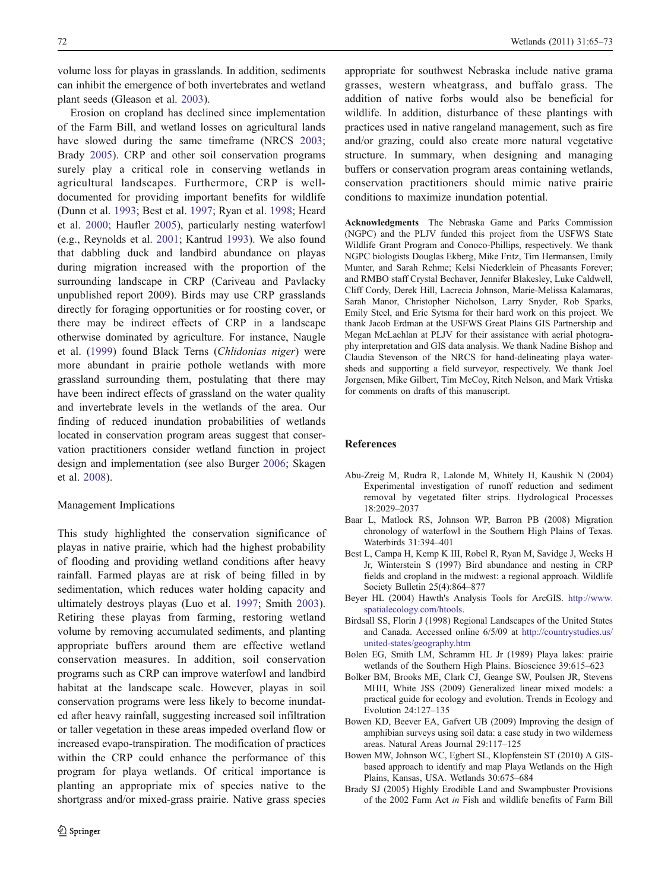<span id="page-8-0"></span>volume loss for playas in grasslands. In addition, sediments can inhibit the emergence of both invertebrates and wetland plant seeds (Gleason et al. [2003\)](#page-9-0).

Erosion on cropland has declined since implementation of the Farm Bill, and wetland losses on agricultural lands have slowed during the same timeframe (NRCS [2003](#page-9-0); Brady 2005). CRP and other soil conservation programs surely play a critical role in conserving wetlands in agricultural landscapes. Furthermore, CRP is welldocumented for providing important benefits for wildlife (Dunn et al. [1993](#page-9-0); Best et al. 1997; Ryan et al. [1998;](#page-9-0) Heard et al. [2000;](#page-9-0) Haufler [2005](#page-9-0)), particularly nesting waterfowl (e.g., Reynolds et al. [2001](#page-9-0); Kantrud [1993\)](#page-9-0). We also found that dabbling duck and landbird abundance on playas during migration increased with the proportion of the surrounding landscape in CRP (Cariveau and Pavlacky unpublished report 2009). Birds may use CRP grasslands directly for foraging opportunities or for roosting cover, or there may be indirect effects of CRP in a landscape otherwise dominated by agriculture. For instance, Naugle et al. [\(1999](#page-9-0)) found Black Terns (Chlidonias niger) were more abundant in prairie pothole wetlands with more grassland surrounding them, postulating that there may have been indirect effects of grassland on the water quality and invertebrate levels in the wetlands of the area. Our finding of reduced inundation probabilities of wetlands located in conservation program areas suggest that conservation practitioners consider wetland function in project design and implementation (see also Burger [2006;](#page-9-0) Skagen et al. [2008](#page-9-0)).

#### Management Implications

This study highlighted the conservation significance of playas in native prairie, which had the highest probability of flooding and providing wetland conditions after heavy rainfall. Farmed playas are at risk of being filled in by sedimentation, which reduces water holding capacity and ultimately destroys playas (Luo et al. [1997](#page-9-0); Smith [2003](#page-9-0)). Retiring these playas from farming, restoring wetland volume by removing accumulated sediments, and planting appropriate buffers around them are effective wetland conservation measures. In addition, soil conservation programs such as CRP can improve waterfowl and landbird habitat at the landscape scale. However, playas in soil conservation programs were less likely to become inundated after heavy rainfall, suggesting increased soil infiltration or taller vegetation in these areas impeded overland flow or increased evapo-transpiration. The modification of practices within the CRP could enhance the performance of this program for playa wetlands. Of critical importance is planting an appropriate mix of species native to the shortgrass and/or mixed-grass prairie. Native grass species

appropriate for southwest Nebraska include native grama grasses, western wheatgrass, and buffalo grass. The addition of native forbs would also be beneficial for wildlife. In addition, disturbance of these plantings with practices used in native rangeland management, such as fire and/or grazing, could also create more natural vegetative structure. In summary, when designing and managing buffers or conservation program areas containing wetlands, conservation practitioners should mimic native prairie conditions to maximize inundation potential.

Acknowledgments The Nebraska Game and Parks Commission (NGPC) and the PLJV funded this project from the USFWS State Wildlife Grant Program and Conoco-Phillips, respectively. We thank NGPC biologists Douglas Ekberg, Mike Fritz, Tim Hermansen, Emily Munter, and Sarah Rehme; Kelsi Niederklein of Pheasants Forever; and RMBO staff Crystal Bechaver, Jennifer Blakesley, Luke Caldwell, Cliff Cordy, Derek Hill, Lacrecia Johnson, Marie-Melissa Kalamaras, Sarah Manor, Christopher Nicholson, Larry Snyder, Rob Sparks, Emily Steel, and Eric Sytsma for their hard work on this project. We thank Jacob Erdman at the USFWS Great Plains GIS Partnership and Megan McLachlan at PLJV for their assistance with aerial photography interpretation and GIS data analysis. We thank Nadine Bishop and Claudia Stevenson of the NRCS for hand-delineating playa watersheds and supporting a field surveyor, respectively. We thank Joel Jorgensen, Mike Gilbert, Tim McCoy, Ritch Nelson, and Mark Vrtiska for comments on drafts of this manuscript.

#### References

- Abu-Zreig M, Rudra R, Lalonde M, Whitely H, Kaushik N (2004) Experimental investigation of runoff reduction and sediment removal by vegetated filter strips. Hydrological Processes 18:2029–2037
- Baar L, Matlock RS, Johnson WP, Barron PB (2008) Migration chronology of waterfowl in the Southern High Plains of Texas. Waterbirds 31:394–401
- Best L, Campa H, Kemp K III, Robel R, Ryan M, Savidge J, Weeks H Jr, Winterstein S (1997) Bird abundance and nesting in CRP fields and cropland in the midwest: a regional approach. Wildlife Society Bulletin 25(4):864–877
- Beyer HL (2004) Hawth's Analysis Tools for ArcGIS. [http://www.](http://www.spatialecology.com/htools) [spatialecology.com/htools](http://www.spatialecology.com/htools).
- Birdsall SS, Florin J (1998) Regional Landscapes of the United States and Canada. Accessed online 6/5/09 at [http://countrystudies.us/](http://countrystudies.us/united-states/geography.htm) [united-states/geography.htm](http://countrystudies.us/united-states/geography.htm)
- Bolen EG, Smith LM, Schramm HL Jr (1989) Playa lakes: prairie wetlands of the Southern High Plains. Bioscience 39:615–623
- Bolker BM, Brooks ME, Clark CJ, Geange SW, Poulsen JR, Stevens MHH, White JSS (2009) Generalized linear mixed models: a practical guide for ecology and evolution. Trends in Ecology and Evolution 24:127–135
- Bowen KD, Beever EA, Gafvert UB (2009) Improving the design of amphibian surveys using soil data: a case study in two wilderness areas. Natural Areas Journal 29:117–125
- Bowen MW, Johnson WC, Egbert SL, Klopfenstein ST (2010) A GISbased approach to identify and map Playa Wetlands on the High Plains, Kansas, USA. Wetlands 30:675–684
- Brady SJ (2005) Highly Erodible Land and Swampbuster Provisions of the 2002 Farm Act in Fish and wildlife benefits of Farm Bill